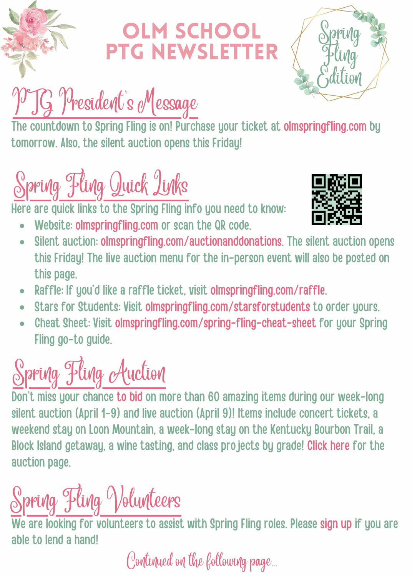

#### LM SCHOOL PTG NEwsletter



# PTG President's Message

The countdown to Spring Fling is on! Purchase your ticket at [olmspringfling.com](https://olmspringfling.com/) by tomorrow. Also, the silent auction opens this Friday!

# Spring Fling Quick Links

Here are quick links to the Spring Fling info you need to know:

Website: [olmspringfling.com](http://www.olmspringfling.com/) or scan the QR code.



- Silent auction: [olmspringfling.com/auctionanddonations](http://www.olmspringfling.com/auctionanddonations). The silent auction opens  $\bullet$ this Friday! The live auction menu for the in-person event will also be posted on this page.
- Raffle: If you'd like a raffle ticket, visit [olmspringfling.com/raffle](http://www.olmspringfling.com/raffle).  $\bullet$
- Stars for Students: Visit [olmspringfling.com/starsforstudents](http://olmspringfling.com/starsforstudents) to order yours.  $\bullet$
- Cheat Sheet: Visit [olmspringfling.com/spring-fling-cheat-sheet](http://www.olmspringfling.com/spring-fling-cheat-sheet) for your Spring  $\bullet$ Fling go-to guide.



Don't miss your chance to [bid](https://olmspringfling.com/auctionanddonations) on more than 60 amazing items during our week-long silent auction (April 1-9) and live auction (April 9)! Items include concert tickets, a weekend stay on Loon Mountain, a week-long stay on the Kentucky Bourbon Trail, a Block Island getaway, a wine tasting, and class projects by grade! [Click](https://olmspringfling.com/auctionanddonations) here for the auction page.

# Spring Fling Volunteers

We are looking for volunteers to assist with Spring Fling roles. Please [sign](https://www.signupgenius.com/go/508094DA4AE2EAAFB6-spring) up if you are able to lend a hand!

Continued on the following page...